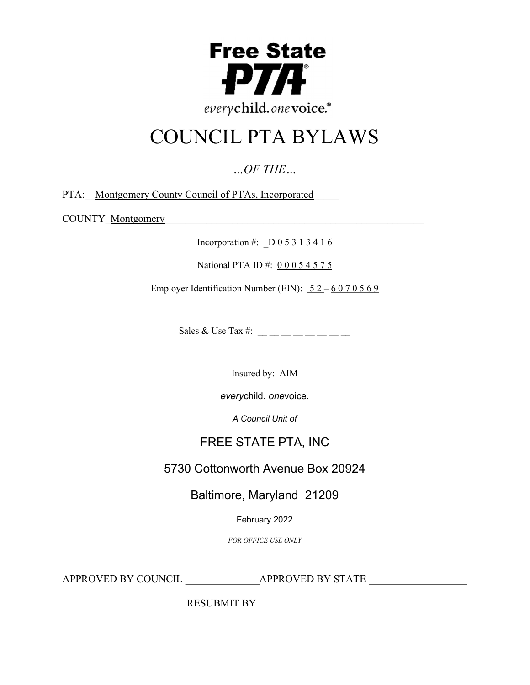

# COUNCIL PTA BYLAWS

…OF THE…

PTA: Montgomery County Council of PTAs, Incorporated

COUNTY <u>Montgomery</u>

Incorporation #:  $\underline{D}$  0 5 3 1 3 4 1 6

National PTA ID #: 0 0 0 5 4 5 7 5

Employer Identification Number (EIN):  $52 - 6070569$ 

Sales & Use Tax #:  $\frac{1}{2}$  \_\_ \_ \_ \_ \_ \_ \_ \_

Insured by: AIM

everychild. onevoice.

A Council Unit of

# FREE STATE PTA, INC

5730 Cottonworth Avenue Box 20924

Baltimore, Maryland 21209

February 2022

FOR OFFICE USE ONLY

APPROVED BY COUNCIL APPROVED BY STATE

RESUBMIT BY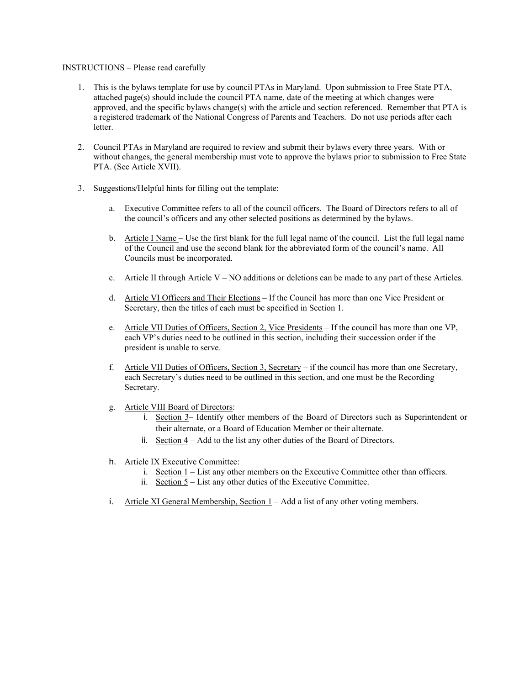#### INSTRUCTIONS – Please read carefully

- 1. This is the bylaws template for use by council PTAs in Maryland. Upon submission to Free State PTA, attached page(s) should include the council PTA name, date of the meeting at which changes were approved, and the specific bylaws change(s) with the article and section referenced. Remember that PTA is a registered trademark of the National Congress of Parents and Teachers. Do not use periods after each letter.
- 2. Council PTAs in Maryland are required to review and submit their bylaws every three years. With or without changes, the general membership must vote to approve the bylaws prior to submission to Free State PTA. (See Article XVII).
- 3. Suggestions/Helpful hints for filling out the template:
	- a. Executive Committee refers to all of the council officers. The Board of Directors refers to all of the council's officers and any other selected positions as determined by the bylaws.
	- b. Article I Name Use the first blank for the full legal name of the council. List the full legal name of the Council and use the second blank for the abbreviated form of the council's name. All Councils must be incorporated.
	- c. Article II through Article V NO additions or deletions can be made to any part of these Articles.
	- d. Article VI Officers and Their Elections If the Council has more than one Vice President or Secretary, then the titles of each must be specified in Section 1.
	- e. Article VII Duties of Officers, Section 2, Vice Presidents If the council has more than one VP, each VP's duties need to be outlined in this section, including their succession order if the president is unable to serve.
	- f. Article VII Duties of Officers, Section 3, Secretary if the council has more than one Secretary, each Secretary's duties need to be outlined in this section, and one must be the Recording Secretary.
	- g. Article VIII Board of Directors:
		- i. Section 3– Identify other members of the Board of Directors such as Superintendent or their alternate, or a Board of Education Member or their alternate.
		- ii. Section 4 Add to the list any other duties of the Board of Directors.
	- h. Article IX Executive Committee:
		- i. Section 1 List any other members on the Executive Committee other than officers.
		- ii. Section 5 List any other duties of the Executive Committee.
	- i. Article XI General Membership, Section  $1 Add$  a list of any other voting members.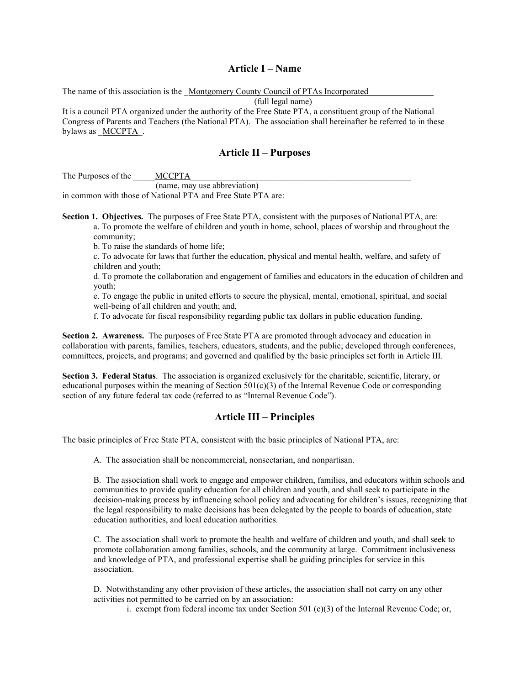#### Article I – Name

The name of this association is the Montgomery County Council of PTAs Incorporated

(full legal name)

It is a council PTA organized under the authority of the Free State PTA, a constituent group of the National Congress of Parents and Teachers (the National PTA). The association shall hereinafter be referred to in these bylaws as  $MCCPTA$ .

#### Article II – Purposes

The Purposes of the MCCPTA

(name, may use abbreviation) in common with those of National PTA and Free State PTA are:

Section 1. Objectives. The purposes of Free State PTA, consistent with the purposes of National PTA, are: a. To promote the welfare of children and youth in home, school, places of worship and throughout the community;

b. To raise the standards of home life;

c. To advocate for laws that further the education, physical and mental health, welfare, and safety of children and youth;

d. To promote the collaboration and engagement of families and educators in the education of children and youth;

e. To engage the public in united efforts to secure the physical, mental, emotional, spiritual, and social well-being of all children and youth; and,

f. To advocate for fiscal responsibility regarding public tax dollars in public education funding.

Section 2. Awareness. The purposes of Free State PTA are promoted through advocacy and education in collaboration with parents, families, teachers, educators, students, and the public; developed through conferences, committees, projects, and programs; and governed and qualified by the basic principles set forth in Article III.

Section 3. Federal Status. The association is organized exclusively for the charitable, scientific, literary, or educational purposes within the meaning of Section  $501(c)(3)$  of the Internal Revenue Code or corresponding section of any future federal tax code (referred to as "Internal Revenue Code").

### Article III – Principles

The basic principles of Free State PTA, consistent with the basic principles of National PTA, are:

A. The association shall be noncommercial, nonsectarian, and nonpartisan.

B. The association shall work to engage and empower children, families, and educators within schools and communities to provide quality education for all children and youth, and shall seek to participate in the decision-making process by influencing school policy and advocating for children's issues, recognizing that the legal responsibility to make decisions has been delegated by the people to boards of education, state education authorities, and local education authorities.

C. The association shall work to promote the health and welfare of children and youth, and shall seek to promote collaboration among families, schools, and the community at large. Commitment inclusiveness and knowledge of PTA, and professional expertise shall be guiding principles for service in this association.

D. Notwithstanding any other provision of these articles, the association shall not carry on any other activities not permitted to be carried on by an association:

i. exempt from federal income tax under Section 501 (c)(3) of the Internal Revenue Code; or,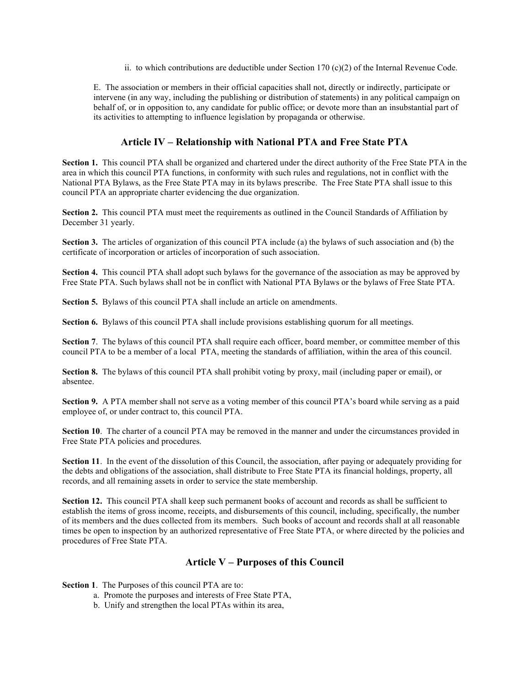ii. to which contributions are deductible under Section 170  $(c)(2)$  of the Internal Revenue Code.

E. The association or members in their official capacities shall not, directly or indirectly, participate or intervene (in any way, including the publishing or distribution of statements) in any political campaign on behalf of, or in opposition to, any candidate for public office; or devote more than an insubstantial part of its activities to attempting to influence legislation by propaganda or otherwise.

## Article IV – Relationship with National PTA and Free State PTA

Section 1. This council PTA shall be organized and chartered under the direct authority of the Free State PTA in the area in which this council PTA functions, in conformity with such rules and regulations, not in conflict with the National PTA Bylaws, as the Free State PTA may in its bylaws prescribe. The Free State PTA shall issue to this council PTA an appropriate charter evidencing the due organization.

Section 2. This council PTA must meet the requirements as outlined in the Council Standards of Affiliation by December 31 yearly.

Section 3. The articles of organization of this council PTA include (a) the bylaws of such association and (b) the certificate of incorporation or articles of incorporation of such association.

Section 4. This council PTA shall adopt such bylaws for the governance of the association as may be approved by Free State PTA. Such bylaws shall not be in conflict with National PTA Bylaws or the bylaws of Free State PTA.

Section 5. Bylaws of this council PTA shall include an article on amendments.

Section 6. Bylaws of this council PTA shall include provisions establishing quorum for all meetings.

Section 7. The bylaws of this council PTA shall require each officer, board member, or committee member of this council PTA to be a member of a local PTA, meeting the standards of affiliation, within the area of this council.

Section 8. The bylaws of this council PTA shall prohibit voting by proxy, mail (including paper or email), or absentee.

Section 9. A PTA member shall not serve as a voting member of this council PTA's board while serving as a paid employee of, or under contract to, this council PTA.

Section 10. The charter of a council PTA may be removed in the manner and under the circumstances provided in Free State PTA policies and procedures.

Section 11. In the event of the dissolution of this Council, the association, after paying or adequately providing for the debts and obligations of the association, shall distribute to Free State PTA its financial holdings, property, all records, and all remaining assets in order to service the state membership.

Section 12. This council PTA shall keep such permanent books of account and records as shall be sufficient to establish the items of gross income, receipts, and disbursements of this council, including, specifically, the number of its members and the dues collected from its members. Such books of account and records shall at all reasonable times be open to inspection by an authorized representative of Free State PTA, or where directed by the policies and procedures of Free State PTA.

### Article V – Purposes of this Council

Section 1. The Purposes of this council PTA are to:

- a. Promote the purposes and interests of Free State PTA,
- b. Unify and strengthen the local PTAs within its area,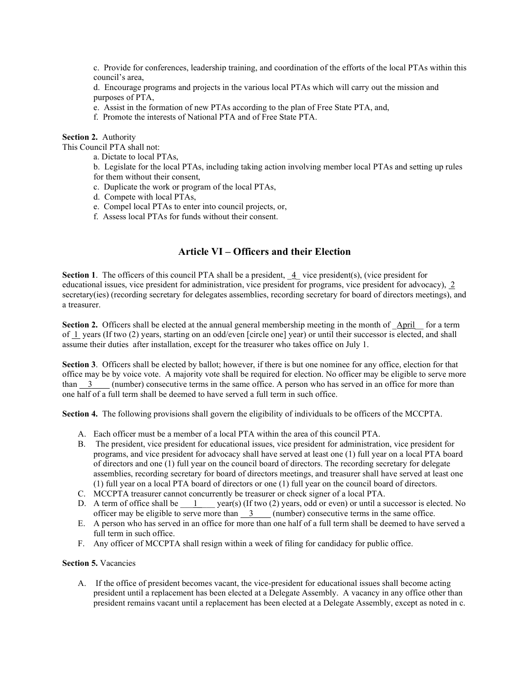c. Provide for conferences, leadership training, and coordination of the efforts of the local PTAs within this council's area,

d. Encourage programs and projects in the various local PTAs which will carry out the mission and purposes of PTA,

- e. Assist in the formation of new PTAs according to the plan of Free State PTA, and,
- f. Promote the interests of National PTA and of Free State PTA.

Section 2. Authority

This Council PTA shall not:

a. Dictate to local PTAs,

b. Legislate for the local PTAs, including taking action involving member local PTAs and setting up rules for them without their consent,

- c. Duplicate the work or program of the local PTAs,
- d. Compete with local PTAs,
- e. Compel local PTAs to enter into council projects, or,
- f. Assess local PTAs for funds without their consent.

## Article VI – Officers and their Election

Section 1. The officers of this council PTA shall be a president,  $\frac{4}{5}$  vice president(s), (vice president for educational issues, vice president for administration, vice president for programs, vice president for advocacy), 2 secretary(ies) (recording secretary for delegates assemblies, recording secretary for board of directors meetings), and a treasurer.

Section 2. Officers shall be elected at the annual general membership meeting in the month of  $\Delta\text{pril}$  for a term of  $\perp$  years (If two (2) years, starting on an odd/even [circle one] year) or until their successor is elected, and shall assume their duties after installation, except for the treasurer who takes office on July 1.

Section 3. Officers shall be elected by ballot; however, if there is but one nominee for any office, election for that office may be by voice vote. A majority vote shall be required for election. No officer may be eligible to serve more than  $\frac{3}{2}$  (number) consecutive terms in the same office. A person who has served in an office for more than one half of a full term shall be deemed to have served a full term in such office.

Section 4. The following provisions shall govern the eligibility of individuals to be officers of the MCCPTA.

- A. Each officer must be a member of a local PTA within the area of this council PTA.
- B. The president, vice president for educational issues, vice president for administration, vice president for programs, and vice president for advocacy shall have served at least one (1) full year on a local PTA board of directors and one (1) full year on the council board of directors. The recording secretary for delegate assemblies, recording secretary for board of directors meetings, and treasurer shall have served at least one (1) full year on a local PTA board of directors or one (1) full year on the council board of directors.
- C. MCCPTA treasurer cannot concurrently be treasurer or check signer of a local PTA.
- D. A term of office shall be  $\underline{\qquad 1 \qquad}$  year(s) (If two (2) years, odd or even) or until a successor is elected. No officer may be eligible to serve more than  $\frac{3}{2}$  (number) consecutive terms in the same office.
- E. A person who has served in an office for more than one half of a full term shall be deemed to have served a full term in such office.
- F. Any officer of MCCPTA shall resign within a week of filing for candidacy for public office.

#### Section 5. Vacancies

A. If the office of president becomes vacant, the vice-president for educational issues shall become acting president until a replacement has been elected at a Delegate Assembly. A vacancy in any office other than president remains vacant until a replacement has been elected at a Delegate Assembly, except as noted in c.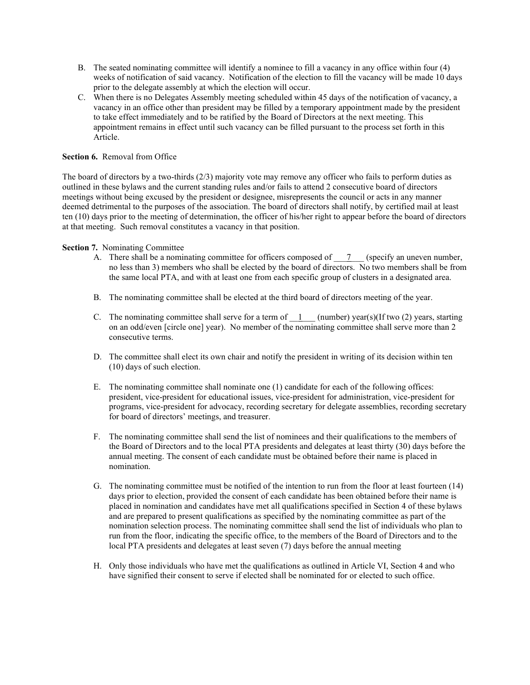- B. The seated nominating committee will identify a nominee to fill a vacancy in any office within four (4) weeks of notification of said vacancy. Notification of the election to fill the vacancy will be made 10 days prior to the delegate assembly at which the election will occur.
- C. When there is no Delegates Assembly meeting scheduled within 45 days of the notification of vacancy, a vacancy in an office other than president may be filled by a temporary appointment made by the president to take effect immediately and to be ratified by the Board of Directors at the next meeting. This appointment remains in effect until such vacancy can be filled pursuant to the process set forth in this Article.

#### Section 6. Removal from Office

The board of directors by a two-thirds (2/3) majority vote may remove any officer who fails to perform duties as outlined in these bylaws and the current standing rules and/or fails to attend 2 consecutive board of directors meetings without being excused by the president or designee, misrepresents the council or acts in any manner deemed detrimental to the purposes of the association. The board of directors shall notify, by certified mail at least ten (10) days prior to the meeting of determination, the officer of his/her right to appear before the board of directors at that meeting. Such removal constitutes a vacancy in that position.

#### Section 7. Nominating Committee

- A. There shall be a nominating committee for officers composed of  $\bar{Z}$  (specify an uneven number, no less than 3) members who shall be elected by the board of directors. No two members shall be from the same local PTA, and with at least one from each specific group of clusters in a designated area.
- B. The nominating committee shall be elected at the third board of directors meeting of the year.
- C. The nominating committee shall serve for a term of  $\frac{1}{1}$  (number) year(s)(If two (2) years, starting on an odd/even [circle one] year). No member of the nominating committee shall serve more than 2 consecutive terms.
- D. The committee shall elect its own chair and notify the president in writing of its decision within ten (10) days of such election.
- E. The nominating committee shall nominate one (1) candidate for each of the following offices: president, vice-president for educational issues, vice-president for administration, vice-president for programs, vice-president for advocacy, recording secretary for delegate assemblies, recording secretary for board of directors' meetings, and treasurer.
- F. The nominating committee shall send the list of nominees and their qualifications to the members of the Board of Directors and to the local PTA presidents and delegates at least thirty (30) days before the annual meeting. The consent of each candidate must be obtained before their name is placed in nomination.
- G. The nominating committee must be notified of the intention to run from the floor at least fourteen (14) days prior to election, provided the consent of each candidate has been obtained before their name is placed in nomination and candidates have met all qualifications specified in Section 4 of these bylaws and are prepared to present qualifications as specified by the nominating committee as part of the nomination selection process. The nominating committee shall send the list of individuals who plan to run from the floor, indicating the specific office, to the members of the Board of Directors and to the local PTA presidents and delegates at least seven (7) days before the annual meeting
- H. Only those individuals who have met the qualifications as outlined in Article VI, Section 4 and who have signified their consent to serve if elected shall be nominated for or elected to such office.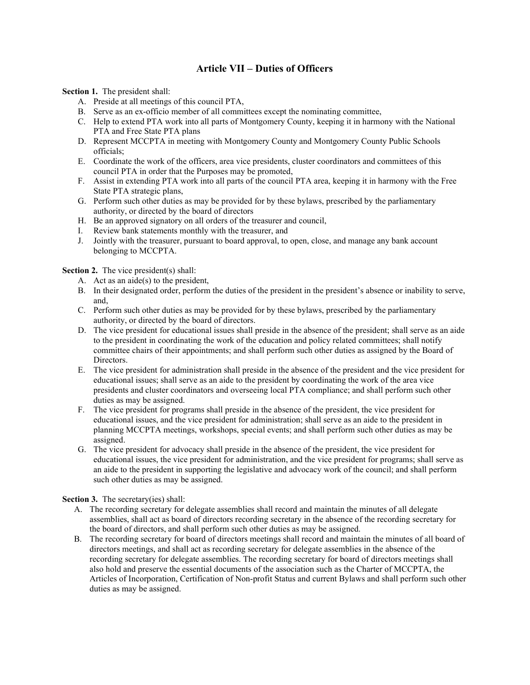## Article VII – Duties of Officers

Section 1. The president shall:

- A. Preside at all meetings of this council PTA,
- B. Serve as an ex-officio member of all committees except the nominating committee,
- C. Help to extend PTA work into all parts of Montgomery County, keeping it in harmony with the National PTA and Free State PTA plans
- D. Represent MCCPTA in meeting with Montgomery County and Montgomery County Public Schools officials;
- E. Coordinate the work of the officers, area vice presidents, cluster coordinators and committees of this council PTA in order that the Purposes may be promoted,
- F. Assist in extending PTA work into all parts of the council PTA area, keeping it in harmony with the Free State PTA strategic plans,
- G. Perform such other duties as may be provided for by these bylaws, prescribed by the parliamentary authority, or directed by the board of directors
- H. Be an approved signatory on all orders of the treasurer and council,
- I. Review bank statements monthly with the treasurer, and
- J. Jointly with the treasurer, pursuant to board approval, to open, close, and manage any bank account belonging to MCCPTA.

Section 2. The vice president(s) shall:

- A. Act as an aide(s) to the president,
- B. In their designated order, perform the duties of the president in the president's absence or inability to serve, and,
- C. Perform such other duties as may be provided for by these bylaws, prescribed by the parliamentary authority, or directed by the board of directors.
- D. The vice president for educational issues shall preside in the absence of the president; shall serve as an aide to the president in coordinating the work of the education and policy related committees; shall notify committee chairs of their appointments; and shall perform such other duties as assigned by the Board of Directors.
- E. The vice president for administration shall preside in the absence of the president and the vice president for educational issues; shall serve as an aide to the president by coordinating the work of the area vice presidents and cluster coordinators and overseeing local PTA compliance; and shall perform such other duties as may be assigned.
- F. The vice president for programs shall preside in the absence of the president, the vice president for educational issues, and the vice president for administration; shall serve as an aide to the president in planning MCCPTA meetings, workshops, special events; and shall perform such other duties as may be assigned.
- G. The vice president for advocacy shall preside in the absence of the president, the vice president for educational issues, the vice president for administration, and the vice president for programs; shall serve as an aide to the president in supporting the legislative and advocacy work of the council; and shall perform such other duties as may be assigned.

Section 3. The secretary(ies) shall:

- A. The recording secretary for delegate assemblies shall record and maintain the minutes of all delegate assemblies, shall act as board of directors recording secretary in the absence of the recording secretary for the board of directors, and shall perform such other duties as may be assigned.
- B. The recording secretary for board of directors meetings shall record and maintain the minutes of all board of directors meetings, and shall act as recording secretary for delegate assemblies in the absence of the recording secretary for delegate assemblies. The recording secretary for board of directors meetings shall also hold and preserve the essential documents of the association such as the Charter of MCCPTA, the Articles of Incorporation, Certification of Non-profit Status and current Bylaws and shall perform such other duties as may be assigned.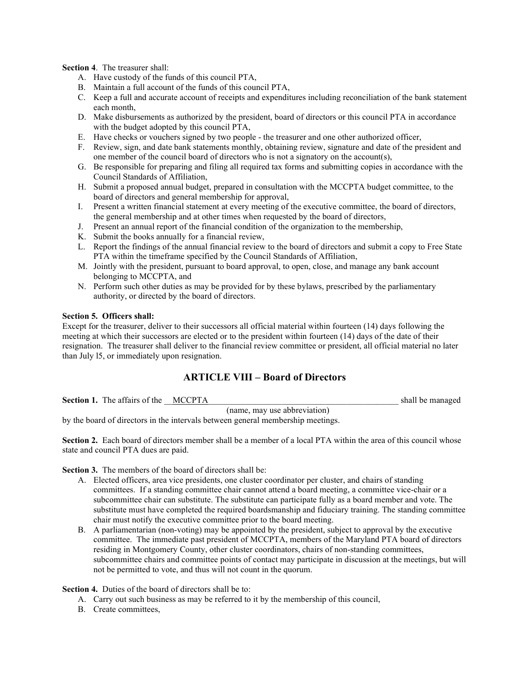Section 4. The treasurer shall:

- A. Have custody of the funds of this council PTA,
- B. Maintain a full account of the funds of this council PTA,
- C. Keep a full and accurate account of receipts and expenditures including reconciliation of the bank statement each month,
- D. Make disbursements as authorized by the president, board of directors or this council PTA in accordance with the budget adopted by this council PTA,
- E. Have checks or vouchers signed by two people the treasurer and one other authorized officer,
- F. Review, sign, and date bank statements monthly, obtaining review, signature and date of the president and one member of the council board of directors who is not a signatory on the account(s),
- G. Be responsible for preparing and filing all required tax forms and submitting copies in accordance with the Council Standards of Affiliation,
- H. Submit a proposed annual budget, prepared in consultation with the MCCPTA budget committee, to the board of directors and general membership for approval,
- I. Present a written financial statement at every meeting of the executive committee, the board of directors, the general membership and at other times when requested by the board of directors,
- J. Present an annual report of the financial condition of the organization to the membership,
- K. Submit the books annually for a financial review,
- L. Report the findings of the annual financial review to the board of directors and submit a copy to Free State PTA within the timeframe specified by the Council Standards of Affiliation,
- M. Jointly with the president, pursuant to board approval, to open, close, and manage any bank account belonging to MCCPTA, and
- N. Perform such other duties as may be provided for by these bylaws, prescribed by the parliamentary authority, or directed by the board of directors.

#### Section 5. Officers shall:

Except for the treasurer, deliver to their successors all official material within fourteen (14) days following the meeting at which their successors are elected or to the president within fourteen (14) days of the date of their resignation. The treasurer shall deliver to the financial review committee or president, all official material no later than July l5, or immediately upon resignation.

### ARTICLE VIII – Board of Directors

Section 1. The affairs of the MCCPTA and the shall be managed (name, may use abbreviation)

by the board of directors in the intervals between general membership meetings.

Section 2. Each board of directors member shall be a member of a local PTA within the area of this council whose state and council PTA dues are paid.

Section 3. The members of the board of directors shall be:

- A. Elected officers, area vice presidents, one cluster coordinator per cluster, and chairs of standing committees. If a standing committee chair cannot attend a board meeting, a committee vice-chair or a subcommittee chair can substitute. The substitute can participate fully as a board member and vote. The substitute must have completed the required boardsmanship and fiduciary training. The standing committee chair must notify the executive committee prior to the board meeting.
- B. A parliamentarian (non-voting) may be appointed by the president, subject to approval by the executive committee. The immediate past president of MCCPTA, members of the Maryland PTA board of directors residing in Montgomery County, other cluster coordinators, chairs of non-standing committees, subcommittee chairs and committee points of contact may participate in discussion at the meetings, but will not be permitted to vote, and thus will not count in the quorum.

#### Section 4. Duties of the board of directors shall be to:

- A. Carry out such business as may be referred to it by the membership of this council,
- B. Create committees,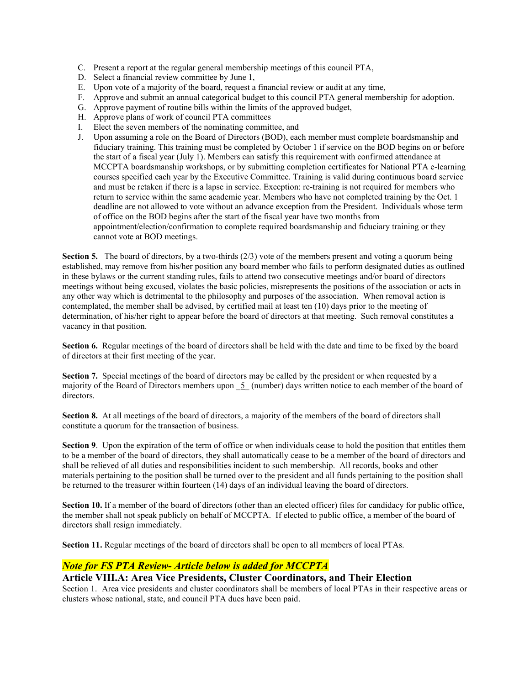- C. Present a report at the regular general membership meetings of this council PTA,
- D. Select a financial review committee by June 1,
- E. Upon vote of a majority of the board, request a financial review or audit at any time,
- F. Approve and submit an annual categorical budget to this council PTA general membership for adoption.
- G. Approve payment of routine bills within the limits of the approved budget,
- H. Approve plans of work of council PTA committees
- I. Elect the seven members of the nominating committee, and
- J. Upon assuming a role on the Board of Directors (BOD), each member must complete boardsmanship and fiduciary training. This training must be completed by October 1 if service on the BOD begins on or before the start of a fiscal year (July 1). Members can satisfy this requirement with confirmed attendance at MCCPTA boardsmanship workshops, or by submitting completion certificates for National PTA e-learning courses specified each year by the Executive Committee. Training is valid during continuous board service and must be retaken if there is a lapse in service. Exception: re-training is not required for members who return to service within the same academic year. Members who have not completed training by the Oct. 1 deadline are not allowed to vote without an advance exception from the President. Individuals whose term of office on the BOD begins after the start of the fiscal year have two months from appointment/election/confirmation to complete required boardsmanship and fiduciary training or they cannot vote at BOD meetings.

Section 5. The board of directors, by a two-thirds (2/3) vote of the members present and voting a quorum being established, may remove from his/her position any board member who fails to perform designated duties as outlined in these bylaws or the current standing rules, fails to attend two consecutive meetings and/or board of directors meetings without being excused, violates the basic policies, misrepresents the positions of the association or acts in any other way which is detrimental to the philosophy and purposes of the association. When removal action is contemplated, the member shall be advised, by certified mail at least ten (10) days prior to the meeting of determination, of his/her right to appear before the board of directors at that meeting. Such removal constitutes a vacancy in that position.

Section 6. Regular meetings of the board of directors shall be held with the date and time to be fixed by the board of directors at their first meeting of the year.

Section 7. Special meetings of the board of directors may be called by the president or when requested by a majority of the Board of Directors members upon  $5$  (number) days written notice to each member of the board of directors.

Section 8. At all meetings of the board of directors, a majority of the members of the board of directors shall constitute a quorum for the transaction of business.

Section 9. Upon the expiration of the term of office or when individuals cease to hold the position that entitles them to be a member of the board of directors, they shall automatically cease to be a member of the board of directors and shall be relieved of all duties and responsibilities incident to such membership. All records, books and other materials pertaining to the position shall be turned over to the president and all funds pertaining to the position shall be returned to the treasurer within fourteen (14) days of an individual leaving the board of directors.

Section 10. If a member of the board of directors (other than an elected officer) files for candidacy for public office, the member shall not speak publicly on behalf of MCCPTA. If elected to public office, a member of the board of directors shall resign immediately.

Section 11. Regular meetings of the board of directors shall be open to all members of local PTAs.

## Note for FS PTA Review- Article below is added for MCCPTA

### Article VIII.A: Area Vice Presidents, Cluster Coordinators, and Their Election

Section 1. Area vice presidents and cluster coordinators shall be members of local PTAs in their respective areas or clusters whose national, state, and council PTA dues have been paid.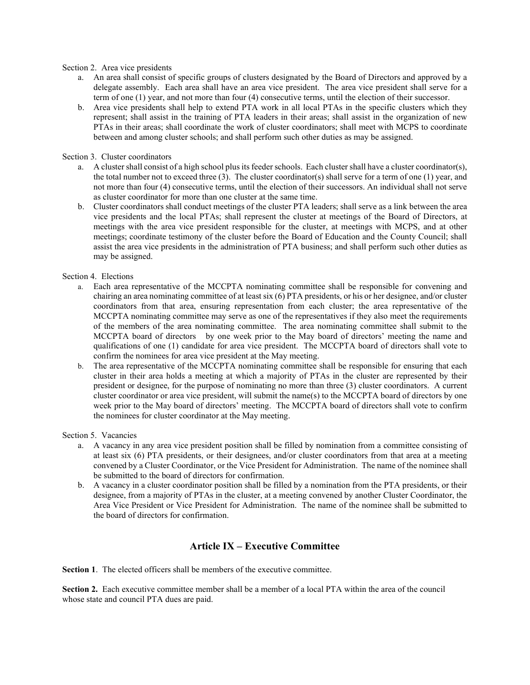#### Section 2. Area vice presidents

- a. An area shall consist of specific groups of clusters designated by the Board of Directors and approved by a delegate assembly. Each area shall have an area vice president. The area vice president shall serve for a term of one (1) year, and not more than four (4) consecutive terms, until the election of their successor.
- b. Area vice presidents shall help to extend PTA work in all local PTAs in the specific clusters which they represent; shall assist in the training of PTA leaders in their areas; shall assist in the organization of new PTAs in their areas; shall coordinate the work of cluster coordinators; shall meet with MCPS to coordinate between and among cluster schools; and shall perform such other duties as may be assigned.

#### Section 3. Cluster coordinators

- a. A cluster shall consist of a high school plus its feeder schools. Each cluster shall have a cluster coordinator(s), the total number not to exceed three (3). The cluster coordinator(s) shall serve for a term of one (1) year, and not more than four (4) consecutive terms, until the election of their successors. An individual shall not serve as cluster coordinator for more than one cluster at the same time.
- b. Cluster coordinators shall conduct meetings of the cluster PTA leaders; shall serve as a link between the area vice presidents and the local PTAs; shall represent the cluster at meetings of the Board of Directors, at meetings with the area vice president responsible for the cluster, at meetings with MCPS, and at other meetings; coordinate testimony of the cluster before the Board of Education and the County Council; shall assist the area vice presidents in the administration of PTA business; and shall perform such other duties as may be assigned.

#### Section 4. Elections

- a. Each area representative of the MCCPTA nominating committee shall be responsible for convening and chairing an area nominating committee of at least six (6) PTA presidents, or his or her designee, and/or cluster coordinators from that area, ensuring representation from each cluster; the area representative of the MCCPTA nominating committee may serve as one of the representatives if they also meet the requirements of the members of the area nominating committee. The area nominating committee shall submit to the MCCPTA board of directors by one week prior to the May board of directors' meeting the name and qualifications of one (1) candidate for area vice president. The MCCPTA board of directors shall vote to confirm the nominees for area vice president at the May meeting.
- b. The area representative of the MCCPTA nominating committee shall be responsible for ensuring that each cluster in their area holds a meeting at which a majority of PTAs in the cluster are represented by their president or designee, for the purpose of nominating no more than three (3) cluster coordinators. A current cluster coordinator or area vice president, will submit the name(s) to the MCCPTA board of directors by one week prior to the May board of directors' meeting. The MCCPTA board of directors shall vote to confirm the nominees for cluster coordinator at the May meeting.

#### Section 5. Vacancies

- a. A vacancy in any area vice president position shall be filled by nomination from a committee consisting of at least six (6) PTA presidents, or their designees, and/or cluster coordinators from that area at a meeting convened by a Cluster Coordinator, or the Vice President for Administration. The name of the nominee shall be submitted to the board of directors for confirmation.
- b. A vacancy in a cluster coordinator position shall be filled by a nomination from the PTA presidents, or their designee, from a majority of PTAs in the cluster, at a meeting convened by another Cluster Coordinator, the Area Vice President or Vice President for Administration. The name of the nominee shall be submitted to the board of directors for confirmation.

### Article IX – Executive Committee

Section 1. The elected officers shall be members of the executive committee.

Section 2. Each executive committee member shall be a member of a local PTA within the area of the council whose state and council PTA dues are paid.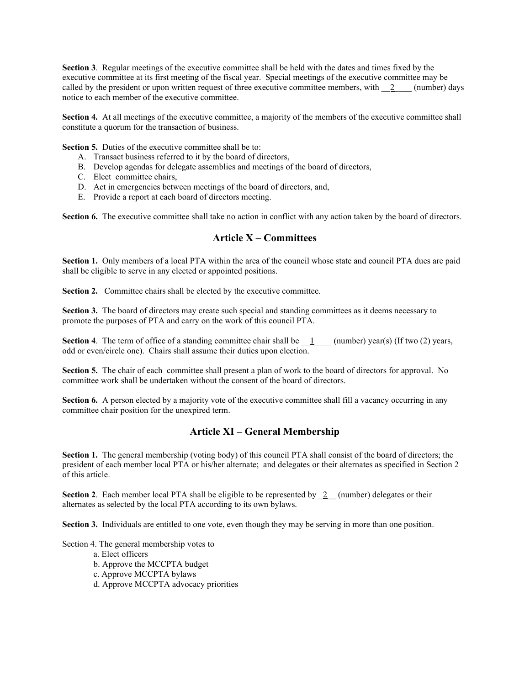Section 3. Regular meetings of the executive committee shall be held with the dates and times fixed by the executive committee at its first meeting of the fiscal year. Special meetings of the executive committee may be called by the president or upon written request of three executive committee members, with  $\frac{2}{2}$  (number) days notice to each member of the executive committee.

Section 4. At all meetings of the executive committee, a majority of the members of the executive committee shall constitute a quorum for the transaction of business.

Section 5. Duties of the executive committee shall be to:

- A. Transact business referred to it by the board of directors,
- B. Develop agendas for delegate assemblies and meetings of the board of directors,
- C. Elect committee chairs,
- D. Act in emergencies between meetings of the board of directors, and,
- E. Provide a report at each board of directors meeting.

Section 6. The executive committee shall take no action in conflict with any action taken by the board of directors.

#### Article X – Committees

Section 1. Only members of a local PTA within the area of the council whose state and council PTA dues are paid shall be eligible to serve in any elected or appointed positions.

Section 2. Committee chairs shall be elected by the executive committee.

Section 3. The board of directors may create such special and standing committees as it deems necessary to promote the purposes of PTA and carry on the work of this council PTA.

**Section 4.** The term of office of a standing committee chair shall be  $\_\_1$  (number) year(s) (If two (2) years, odd or even/circle one). Chairs shall assume their duties upon election.

Section 5. The chair of each committee shall present a plan of work to the board of directors for approval. No committee work shall be undertaken without the consent of the board of directors.

Section 6. A person elected by a majority vote of the executive committee shall fill a vacancy occurring in any committee chair position for the unexpired term.

### Article XI – General Membership

Section 1. The general membership (voting body) of this council PTA shall consist of the board of directors; the president of each member local PTA or his/her alternate; and delegates or their alternates as specified in Section 2 of this article.

**Section 2.** Each member local PTA shall be eligible to be represented by  $\frac{2}{2}$  (number) delegates or their alternates as selected by the local PTA according to its own bylaws.

Section 3. Individuals are entitled to one vote, even though they may be serving in more than one position.

Section 4. The general membership votes to

- a. Elect officers
- b. Approve the MCCPTA budget
- c. Approve MCCPTA bylaws
- d. Approve MCCPTA advocacy priorities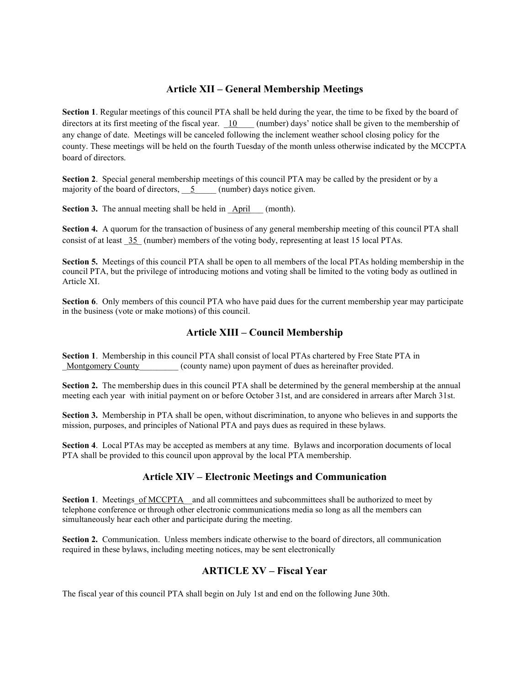## Article XII – General Membership Meetings

Section 1. Regular meetings of this council PTA shall be held during the year, the time to be fixed by the board of directors at its first meeting of the fiscal year.  $\underline{10}$  (number) days' notice shall be given to the membership of any change of date. Meetings will be canceled following the inclement weather school closing policy for the county. These meetings will be held on the fourth Tuesday of the month unless otherwise indicated by the MCCPTA board of directors.

Section 2. Special general membership meetings of this council PTA may be called by the president or by a majority of the board of directors,  $\overline{5}$  (number) days notice given.

Section 3. The annual meeting shall be held in April (month).

Section 4. A quorum for the transaction of business of any general membership meeting of this council PTA shall consist of at least \_35\_ (number) members of the voting body, representing at least 15 local PTAs.

Section 5. Meetings of this council PTA shall be open to all members of the local PTAs holding membership in the council PTA, but the privilege of introducing motions and voting shall be limited to the voting body as outlined in Article XI.

Section 6. Only members of this council PTA who have paid dues for the current membership year may participate in the business (vote or make motions) of this council.

### Article XIII – Council Membership

Section 1. Membership in this council PTA shall consist of local PTAs chartered by Free State PTA in Montgomery County (county name) upon payment of dues as hereinafter provided.

Section 2. The membership dues in this council PTA shall be determined by the general membership at the annual meeting each year with initial payment on or before October 31st, and are considered in arrears after March 31st.

Section 3. Membership in PTA shall be open, without discrimination, to anyone who believes in and supports the mission, purposes, and principles of National PTA and pays dues as required in these bylaws.

Section 4. Local PTAs may be accepted as members at any time. Bylaws and incorporation documents of local PTA shall be provided to this council upon approval by the local PTA membership.

## Article XIV – Electronic Meetings and Communication

Section 1. Meetings of MCCPTA and all committees and subcommittees shall be authorized to meet by telephone conference or through other electronic communications media so long as all the members can simultaneously hear each other and participate during the meeting.

Section 2. Communication. Unless members indicate otherwise to the board of directors, all communication required in these bylaws, including meeting notices, may be sent electronically

## ARTICLE XV – Fiscal Year

The fiscal year of this council PTA shall begin on July 1st and end on the following June 30th.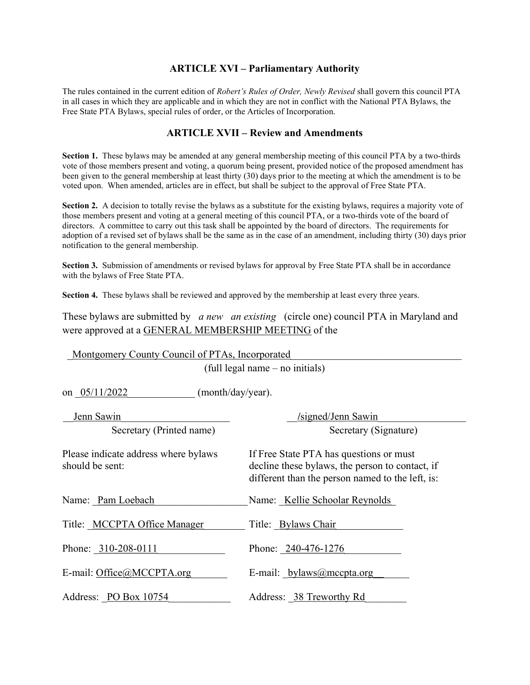## ARTICLE XVI – Parliamentary Authority

The rules contained in the current edition of Robert's Rules of Order, Newly Revised shall govern this council PTA in all cases in which they are applicable and in which they are not in conflict with the National PTA Bylaws, the Free State PTA Bylaws, special rules of order, or the Articles of Incorporation.

## ARTICLE XVII – Review and Amendments

Section 1. These bylaws may be amended at any general membership meeting of this council PTA by a two-thirds vote of those members present and voting, a quorum being present, provided notice of the proposed amendment has been given to the general membership at least thirty (30) days prior to the meeting at which the amendment is to be voted upon. When amended, articles are in effect, but shall be subject to the approval of Free State PTA.

Section 2. A decision to totally revise the bylaws as a substitute for the existing bylaws, requires a majority vote of those members present and voting at a general meeting of this council PTA, or a two-thirds vote of the board of directors. A committee to carry out this task shall be appointed by the board of directors. The requirements for adoption of a revised set of bylaws shall be the same as in the case of an amendment, including thirty (30) days prior notification to the general membership.

Section 3. Submission of amendments or revised bylaws for approval by Free State PTA shall be in accordance with the bylaws of Free State PTA.

Section 4. These bylaws shall be reviewed and approved by the membership at least every three years.

These bylaws are submitted by a new an existing (circle one) council PTA in Maryland and were approved at a GENERAL MEMBERSHIP MEETING of the

| Montgomery County Council of PTAs, Incorporated<br>(full legal name – no initials)<br>on 05/11/2022<br>(month/day/year). |                                                                                                                                                |                          |                       |
|--------------------------------------------------------------------------------------------------------------------------|------------------------------------------------------------------------------------------------------------------------------------------------|--------------------------|-----------------------|
|                                                                                                                          |                                                                                                                                                | Jenn Sawin               | /signed/Jenn Sawin    |
|                                                                                                                          |                                                                                                                                                | Secretary (Printed name) | Secretary (Signature) |
| Please indicate address where bylaws<br>should be sent:                                                                  | If Free State PTA has questions or must<br>decline these bylaws, the person to contact, if<br>different than the person named to the left, is: |                          |                       |
| Name: Pam Loebach                                                                                                        | Name: Kellie Schoolar Reynolds                                                                                                                 |                          |                       |
| Title: MCCPTA Office Manager                                                                                             | Title: Bylaws Chair                                                                                                                            |                          |                       |
| Phone: 310-208-0111                                                                                                      | Phone: 240-476-1276                                                                                                                            |                          |                       |
| E-mail: Office@MCCPTA.org                                                                                                | E-mail: bylaws@mccpta.org                                                                                                                      |                          |                       |
| Address: PO Box 10754                                                                                                    | Address: 38 Treworthy Rd                                                                                                                       |                          |                       |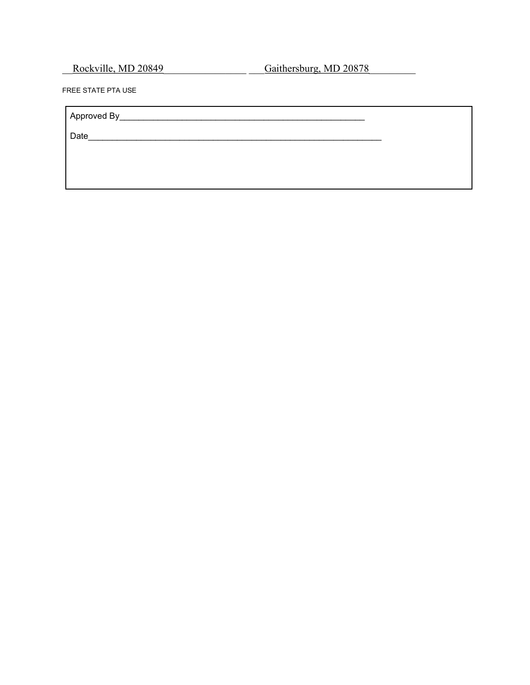\_\_Rockville, MD 20849\_\_\_\_\_\_\_\_\_\_\_\_\_\_\_\_ \_\_\_Gaithersburg, MD 20878\_\_\_\_\_\_\_\_\_

FREE STATE PTA USE

Approved By\_\_\_\_\_\_\_\_\_\_\_\_\_\_\_\_\_\_\_\_\_\_\_\_\_\_\_\_\_\_\_\_\_\_\_\_\_\_\_\_\_\_\_\_\_\_\_\_\_\_\_

Date\_\_\_\_\_\_\_\_\_\_\_\_\_\_\_\_\_\_\_\_\_\_\_\_\_\_\_\_\_\_\_\_\_\_\_\_\_\_\_\_\_\_\_\_\_\_\_\_\_\_\_\_\_\_\_\_\_\_\_\_\_